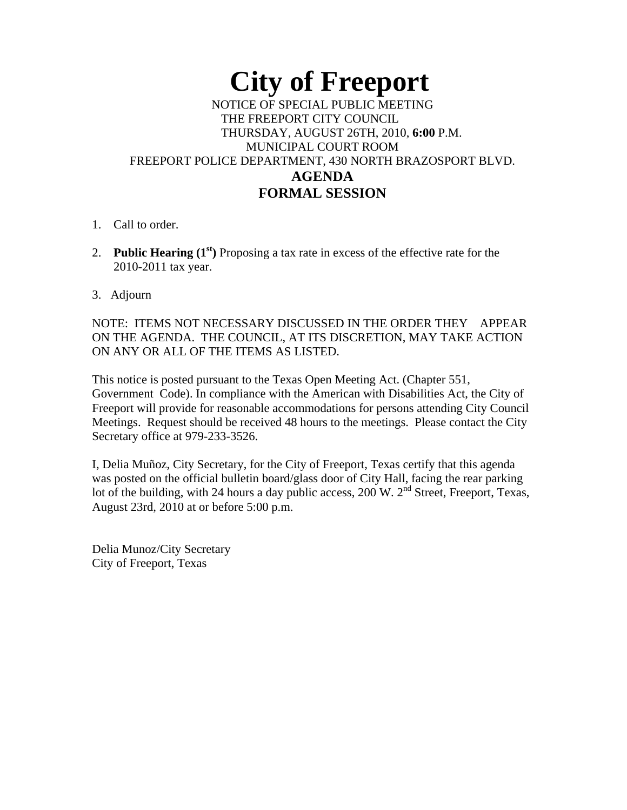## **City of Freeport**  NOTICE OF SPECIAL PUBLIC MEETING THE FREEPORT CITY COUNCIL THURSDAY, AUGUST 26TH, 2010, **6:00** P.M. MUNICIPAL COURT ROOM FREEPORT POLICE DEPARTMENT, 430 NORTH BRAZOSPORT BLVD. **AGENDA FORMAL SESSION**

- 1. Call to order.
- 2. **Public Hearing (1st)** Proposing a tax rate in excess of the effective rate for the 2010-2011 tax year.
- 3. Adjourn

NOTE: ITEMS NOT NECESSARY DISCUSSED IN THE ORDER THEY APPEAR ON THE AGENDA. THE COUNCIL, AT ITS DISCRETION, MAY TAKE ACTION ON ANY OR ALL OF THE ITEMS AS LISTED.

This notice is posted pursuant to the Texas Open Meeting Act. (Chapter 551, Government Code). In compliance with the American with Disabilities Act, the City of Freeport will provide for reasonable accommodations for persons attending City Council Meetings. Request should be received 48 hours to the meetings. Please contact the City Secretary office at 979-233-3526.

I, Delia Muñoz, City Secretary, for the City of Freeport, Texas certify that this agenda was posted on the official bulletin board/glass door of City Hall, facing the rear parking lot of the building, with 24 hours a day public access, 200 W.  $2<sup>nd</sup>$  Street, Freeport, Texas, August 23rd, 2010 at or before 5:00 p.m.

Delia Munoz/City Secretary City of Freeport, Texas